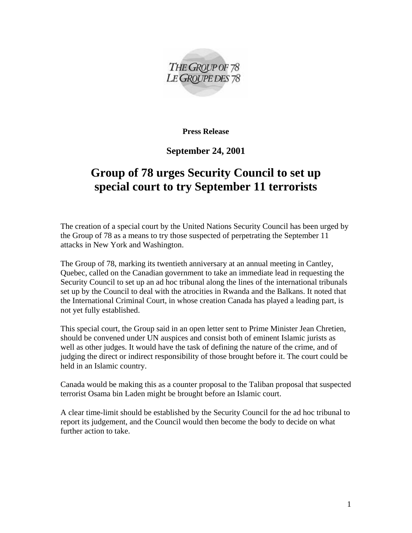

**Press Release** 

**September 24, 2001** 

## **Group of 78 urges Security Council to set up special court to try September 11 terrorists**

The creation of a special court by the United Nations Security Council has been urged by the Group of 78 as a means to try those suspected of perpetrating the September 11 attacks in New York and Washington.

The Group of 78, marking its twentieth anniversary at an annual meeting in Cantley, Quebec, called on the Canadian government to take an immediate lead in requesting the Security Council to set up an ad hoc tribunal along the lines of the international tribunals set up by the Council to deal with the atrocities in Rwanda and the Balkans. It noted that the International Criminal Court, in whose creation Canada has played a leading part, is not yet fully established.

This special court, the Group said in an open letter sent to Prime Minister Jean Chretien, should be convened under UN auspices and consist both of eminent Islamic jurists as well as other judges. It would have the task of defining the nature of the crime, and of judging the direct or indirect responsibility of those brought before it. The court could be held in an Islamic country.

Canada would be making this as a counter proposal to the Taliban proposal that suspected terrorist Osama bin Laden might be brought before an Islamic court.

A clear time-limit should be established by the Security Council for the ad hoc tribunal to report its judgement, and the Council would then become the body to decide on what further action to take.